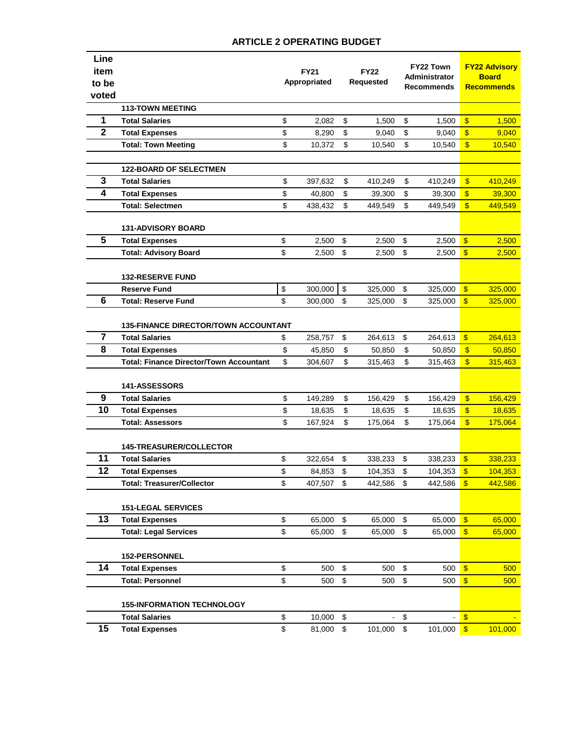| Line                    |                                                |              |         |             |         |                           | <b>FY22 Town</b> |                           | <b>FY22 Advisory</b> |  |
|-------------------------|------------------------------------------------|--------------|---------|-------------|---------|---------------------------|------------------|---------------------------|----------------------|--|
| item                    |                                                | <b>FY21</b>  |         | <b>FY22</b> |         | <b>Administrator</b>      |                  | <b>Board</b>              |                      |  |
| to be                   |                                                | Appropriated |         | Requested   |         | <b>Recommends</b>         |                  |                           | <b>Recommends</b>    |  |
| voted                   |                                                |              |         |             |         |                           |                  |                           |                      |  |
|                         | <b>113-TOWN MEETING</b>                        |              |         |             |         |                           |                  |                           |                      |  |
| 1                       | <b>Total Salaries</b>                          | \$           | 2,082   | \$          | 1.500   | \$                        | 1,500            | $\sqrt[6]{3}$             | 1,500                |  |
| $\overline{\mathbf{2}}$ | <b>Total Expenses</b>                          | \$           | 8,290   | \$          | 9,040   | \$                        | 9,040            | $\mathbf{\$}$             | 9,040                |  |
|                         | <b>Total: Town Meeting</b>                     | \$           | 10,372  | \$          | 10,540  | \$                        | 10,540           | $\boldsymbol{\mathsf{s}}$ | 10,540               |  |
|                         |                                                |              |         |             |         |                           |                  |                           |                      |  |
|                         | <b>122-BOARD OF SELECTMEN</b>                  |              |         |             |         |                           |                  |                           |                      |  |
| 3                       | <b>Total Salaries</b>                          | \$           | 397,632 | \$          | 410,249 | \$                        | 410,249          | $\sqrt[6]{3}$             | 410,249              |  |
| 4                       | <b>Total Expenses</b>                          | \$           | 40,800  | \$          | 39,300  | \$                        | 39,300           | $\sqrt[6]{\frac{1}{2}}$   | 39,300               |  |
|                         | <b>Total: Selectmen</b>                        | \$           | 438,432 | \$          | 449,549 | \$                        | 449,549          | $\overline{\mathbf{S}}$   | 449,549              |  |
|                         |                                                |              |         |             |         |                           |                  |                           |                      |  |
|                         | <b>131-ADVISORY BOARD</b>                      |              |         |             |         |                           |                  |                           |                      |  |
| 5                       | <b>Total Expenses</b>                          | \$           | 2,500   | \$          | 2,500   | \$                        | 2,500            | $\sqrt{3}$                | 2,500                |  |
|                         | <b>Total: Advisory Board</b>                   | \$           | 2,500   | \$          | 2,500   | \$                        | 2,500            | $\mathbf{\$}$             | 2,500                |  |
|                         |                                                |              |         |             |         |                           |                  |                           |                      |  |
|                         | <b>132-RESERVE FUND</b>                        |              |         |             |         |                           |                  |                           |                      |  |
|                         | <b>Reserve Fund</b>                            | \$           | 300,000 | \$          | 325,000 | \$                        | 325,000          | $\sqrt[6]{\frac{1}{2}}$   | 325,000              |  |
| 6                       | <b>Total: Reserve Fund</b>                     | \$           | 300,000 | \$          | 325,000 | \$                        | 325,000          | $\mathbf{\$}$             | 325,000              |  |
|                         |                                                |              |         |             |         |                           |                  |                           |                      |  |
|                         | <b>135-FINANCE DIRECTOR/TOWN ACCOUNTANT</b>    |              |         |             |         |                           |                  |                           |                      |  |
| $\overline{\mathbf{7}}$ | <b>Total Salaries</b>                          | \$           | 258,757 | \$          | 264,613 | \$                        | 264,613          | $\sqrt[6]{\frac{1}{2}}$   | 264,613              |  |
| 8                       | <b>Total Expenses</b>                          | \$           | 45,850  | \$          | 50,850  | \$                        | 50,850           | $\boldsymbol{\mathsf{s}}$ | 50,850               |  |
|                         | <b>Total: Finance Director/Town Accountant</b> | \$           | 304,607 | \$          | 315,463 | \$                        | 315,463          | $\overline{\mathbf{S}}$   | 315,463              |  |
|                         |                                                |              |         |             |         |                           |                  |                           |                      |  |
|                         | <b>141-ASSESSORS</b>                           |              |         |             |         |                           |                  |                           |                      |  |
| 9<br>10                 | <b>Total Salaries</b>                          | \$           | 149,289 | \$          | 156,429 | \$                        | 156,429          | $\sqrt{3}$                | 156,429              |  |
|                         | <b>Total Expenses</b>                          | \$           | 18,635  | \$          | 18,635  | \$                        | 18,635           | $\boldsymbol{\mathsf{s}}$ | 18,635               |  |
|                         | <b>Total: Assessors</b>                        | \$           | 167,924 | \$          | 175,064 | \$                        | 175,064          | $\boldsymbol{\$}$         | 175,064              |  |
|                         |                                                |              |         |             |         |                           |                  |                           |                      |  |
| 11                      | <b>145-TREASURER/COLLECTOR</b>                 |              |         |             |         |                           |                  |                           |                      |  |
| 12                      | <b>Total Salaries</b>                          | \$           | 322,654 | \$          | 338,233 | \$                        | 338,233          | $\mathbf{\$}$             | 338,233              |  |
|                         | <b>Total Expenses</b>                          | \$           | 84,853  | \$          | 104,353 | \$<br>\$                  | 104,353          | $\boldsymbol{\mathsf{s}}$ | 104,353              |  |
|                         | <b>Total: Treasurer/Collector</b>              | \$           | 407,507 | \$          | 442,586 |                           | 442,586          | $\boldsymbol{\$}$         | 442,586              |  |
|                         | <b>151-LEGAL SERVICES</b>                      |              |         |             |         |                           |                  |                           |                      |  |
| 13                      | <b>Total Expenses</b>                          | \$           | 65,000  | \$          | 65,000  | \$                        | 65,000           | $\sqrt[6]{\frac{1}{2}}$   | 65,000               |  |
|                         | <b>Total: Legal Services</b>                   | \$           | 65,000  | \$          | 65,000  | $\sqrt[6]{\frac{1}{2}}$   | 65,000           | $\sqrt[3]{\frac{1}{2}}$   | 65,000               |  |
|                         |                                                |              |         |             |         |                           |                  |                           |                      |  |
|                         | 152-PERSONNEL                                  |              |         |             |         |                           |                  |                           |                      |  |
| 14                      | <b>Total Expenses</b>                          | \$           | 500     | \$          | 500     | \$                        | 500              | $\sqrt[6]{3}$             | 500                  |  |
|                         | <b>Total: Personnel</b>                        | \$           | 500     | \$          | 500     | $\boldsymbol{\mathsf{S}}$ | 500              | $\sqrt[6]{3}$             | 500                  |  |
|                         |                                                |              |         |             |         |                           |                  |                           |                      |  |
|                         | <b>155-INFORMATION TECHNOLOGY</b>              |              |         |             |         |                           |                  |                           |                      |  |
|                         | <b>Total Salaries</b>                          | \$           | 10,000  | \$          |         | \$                        |                  | $\sqrt[6]{\frac{1}{2}}$   |                      |  |
| 15                      | <b>Total Expenses</b>                          | \$           | 81,000  | \$          | 101,000 | \$                        | 101,000          | $\sqrt[6]{\frac{1}{2}}$   | 101,000              |  |
|                         |                                                |              |         |             |         |                           |                  |                           |                      |  |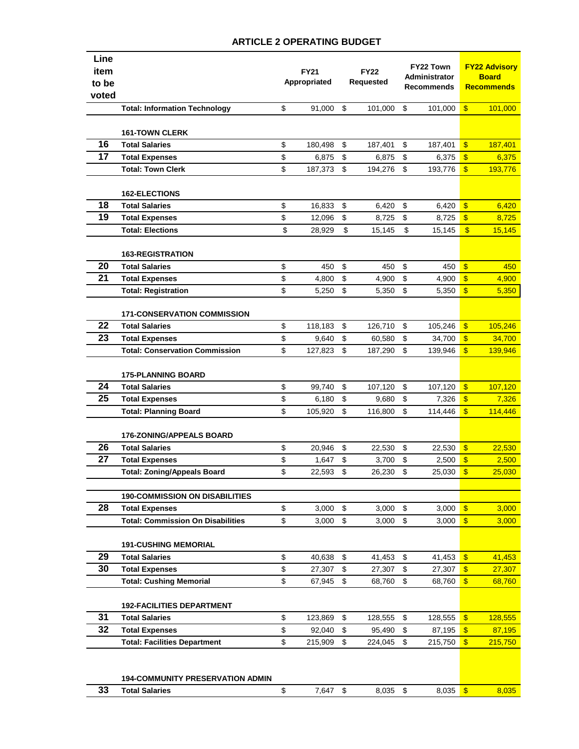| Line<br>item |                                          | <b>FY21</b>  |          | <b>FY22</b> |         | FY22 Town                   |         | <b>FY22 Advisory</b>              |         |
|--------------|------------------------------------------|--------------|----------|-------------|---------|-----------------------------|---------|-----------------------------------|---------|
| to be        |                                          | Appropriated |          | Requested   |         | Administrator<br>Recommends |         | <b>Board</b><br><b>Recommends</b> |         |
| voted        |                                          |              |          |             |         |                             |         |                                   |         |
|              | <b>Total: Information Technology</b>     | \$           | 91,000   | \$          | 101,000 | \$                          | 101,000 | $\boldsymbol{\mathsf{s}}$         | 101,000 |
|              | <b>161-TOWN CLERK</b>                    |              |          |             |         |                             |         |                                   |         |
| 16           | <b>Total Salaries</b>                    | \$           | 180,498  | \$          | 187,401 | \$                          | 187,401 | $\boldsymbol{\mathsf{s}}$         | 187,401 |
| 17           | <b>Total Expenses</b>                    | \$           | 6,875    | \$          | 6,875   | \$                          | 6,375   | $\boldsymbol{\mathsf{s}}$         | 6,375   |
|              | <b>Total: Town Clerk</b>                 | \$           | 187,373  | \$          | 194,276 | \$                          | 193,776 | $\mathbf{\$}$                     | 193,776 |
|              |                                          |              |          |             |         |                             |         |                                   |         |
|              | <b>162-ELECTIONS</b>                     |              |          |             |         |                             |         |                                   |         |
| 18           | <b>Total Salaries</b>                    | \$           | 16,833   | \$          | 6,420   | \$                          | 6,420   | $\sqrt[6]{3}$                     | 6,420   |
| 19           | <b>Total Expenses</b>                    | \$           | 12,096   | \$          | 8,725   | \$                          | 8,725   | $\sqrt[6]{3}$                     | 8,725   |
|              | <b>Total: Elections</b>                  | \$           | 28,929   | \$          | 15,145  | \$                          | 15,145  | $\sqrt[6]{3}$                     | 15,145  |
|              | <b>163-REGISTRATION</b>                  |              |          |             |         |                             |         |                                   |         |
| 20           | <b>Total Salaries</b>                    | \$           | 450      | \$          | 450     | \$                          | 450     | $\sqrt[6]{3}$                     | 450     |
| 21           | <b>Total Expenses</b>                    | \$           | 4,800    | \$          | 4,900   | \$                          | 4,900   | \$                                | 4,900   |
|              | <b>Total: Registration</b>               | \$           | 5,250    | \$          | 5,350   | \$                          | 5,350   | $\sqrt[6]{3}$                     | 5,350   |
|              | <b>171-CONSERVATION COMMISSION</b>       |              |          |             |         |                             |         |                                   |         |
| 22           | <b>Total Salaries</b>                    | \$           | 118,183  | \$          | 126,710 | \$                          | 105,246 | $\sqrt[6]{3}$                     | 105,246 |
| 23           | <b>Total Expenses</b>                    | \$           | 9,640    | \$          | 60,580  | \$                          | 34,700  | $\boldsymbol{\mathsf{s}}$         | 34,700  |
|              | <b>Total: Conservation Commission</b>    | \$           | 127,823  | \$          | 187,290 | \$                          | 139,946 | $\mathbf{\$}$                     | 139,946 |
|              | <b>175-PLANNING BOARD</b>                |              |          |             |         |                             |         |                                   |         |
| 24           | <b>Total Salaries</b>                    | \$           | 99,740   | \$          | 107,120 | $\boldsymbol{\mathsf{S}}$   | 107,120 | $\sqrt[6]{3}$                     | 107,120 |
| 25           | <b>Total Expenses</b>                    | \$           | 6,180    | \$          | 9,680   | \$                          | 7,326   | $\mathbf{\$}$                     | 7,326   |
|              | <b>Total: Planning Board</b>             | \$           | 105,920  | \$          | 116,800 | \$                          | 114,446 | \$                                | 114,446 |
|              | <b>176-ZONING/APPEALS BOARD</b>          |              |          |             |         |                             |         |                                   |         |
| 26           | <b>Total Salaries</b>                    | \$           | 20,946   | \$          | 22,530  | \$                          | 22,530  | $\mathbf{\$}$                     | 22,530  |
| 27           | <b>Total Expenses</b>                    | \$           | 1,647    | \$          | 3.700   | \$                          | 2,500   | $\sqrt[6]{3}$                     | 2,500   |
|              | <b>Total: Zoning/Appeals Board</b>       | \$           | 22,593   | \$          | 26,230  | \$                          | 25,030  | $\boldsymbol{\mathsf{s}}$         | 25,030  |
|              |                                          |              |          |             |         |                             |         |                                   |         |
|              | <b>190-COMMISSION ON DISABILITIES</b>    |              |          |             |         |                             |         |                                   |         |
| 28           | <b>Total Expenses</b>                    | \$           | 3,000    | \$          | 3,000   | \$                          | 3,000   | $\sqrt[6]{3}$                     | 3,000   |
|              | <b>Total: Commission On Disabilities</b> | \$           | 3,000    | \$          | 3,000   | $\sqrt[6]{\frac{1}{2}}$     | 3,000   | $\mathbf{\$}$                     | 3,000   |
|              | <b>191-CUSHING MEMORIAL</b>              |              |          |             |         |                             |         |                                   |         |
| 29           | <b>Total Salaries</b>                    | \$           | 40,638   | \$          | 41,453  | \$                          | 41,453  | $\mathbf{\$}$                     | 41,453  |
| 30           | <b>Total Expenses</b>                    | \$           | 27,307   | \$          | 27,307  | \$                          | 27,307  | $\boldsymbol{\mathsf{s}}$         | 27,307  |
|              | <b>Total: Cushing Memorial</b>           | \$           | 67,945   | \$          | 68,760  | \$                          | 68,760  | $\mathbf{\$}$                     | 68,760  |
|              |                                          |              |          |             |         |                             |         |                                   |         |
|              | <b>192-FACILITIES DEPARTMENT</b>         |              |          |             |         |                             |         |                                   |         |
| 31           | <b>Total Salaries</b>                    | \$           | 123,869  | \$          | 128,555 | \$                          | 128,555 | $\frac{1}{2}$                     | 128,555 |
| 32           | <b>Total Expenses</b>                    | \$           | 92,040   | \$          | 95,490  | \$                          | 87,195  | $\sqrt[6]{3}$                     | 87,195  |
|              | <b>Total: Facilities Department</b>      | \$           | 215,909  | \$          | 224,045 | \$                          | 215,750 | $\mathbf{\$}$                     | 215,750 |
|              |                                          |              |          |             |         |                             |         |                                   |         |
|              | <b>194-COMMUNITY PRESERVATION ADMIN</b>  |              |          |             |         |                             |         |                                   |         |
| 33           | <b>Total Salaries</b>                    | \$           | 7,647 \$ |             | 8,035   | $\sqrt[6]{\frac{1}{2}}$     | 8,035   | $\sqrt[6]{3}$                     | 8,035   |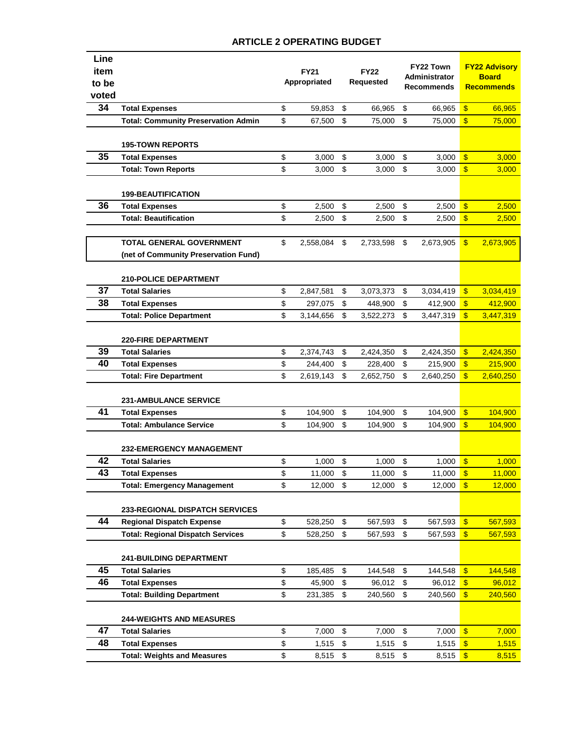| Line<br>item<br>to be |                                            | <b>FY21</b><br>Appropriated |           | <b>FY22</b><br>Requested |           | <b>FY22 Town</b><br><b>Administrator</b><br>Recommends |           | <b>FY22 Advisory</b><br><b>Board</b><br><b>Recommends</b> |           |
|-----------------------|--------------------------------------------|-----------------------------|-----------|--------------------------|-----------|--------------------------------------------------------|-----------|-----------------------------------------------------------|-----------|
| voted                 |                                            |                             |           |                          |           |                                                        |           |                                                           |           |
| 34                    | <b>Total Expenses</b>                      | \$                          | 59,853    | \$                       | 66,965    | \$                                                     | 66,965    | $\boldsymbol{\mathsf{S}}$                                 | 66,965    |
|                       | <b>Total: Community Preservation Admin</b> | \$                          | 67,500    | \$                       | 75,000    | \$                                                     | 75.000    | $\mathbf{\$}$                                             | 75,000    |
|                       | <b>195-TOWN REPORTS</b>                    |                             |           |                          |           |                                                        |           |                                                           |           |
| 35                    | <b>Total Expenses</b>                      | \$                          | 3,000     | \$                       | 3,000     | \$                                                     | 3,000     | $\mathbf{\$}$                                             | 3,000     |
|                       | <b>Total: Town Reports</b>                 | \$                          | 3,000     | \$                       | 3,000     | $\boldsymbol{\mathsf{S}}$                              | 3,000     | $\sqrt[6]{\frac{1}{2}}$                                   | 3,000     |
|                       | <b>199-BEAUTIFICATION</b>                  |                             |           |                          |           |                                                        |           |                                                           |           |
| 36                    | <b>Total Expenses</b>                      | \$                          | 2,500     | \$                       | 2,500     | \$                                                     | 2,500     | $\sqrt[6]{\frac{1}{2}}$                                   | 2,500     |
|                       | <b>Total: Beautification</b>               | \$                          | 2,500     | \$                       | 2,500     | \$                                                     | 2,500     | $\boldsymbol{\mathsf{s}}$                                 | 2,500     |
|                       |                                            |                             |           |                          |           |                                                        |           |                                                           |           |
|                       | <b>TOTAL GENERAL GOVERNMENT</b>            | \$                          | 2,558,084 | \$                       | 2,733,598 | \$                                                     | 2,673,905 | $\sqrt{3}$                                                | 2,673,905 |
|                       | (net of Community Preservation Fund)       |                             |           |                          |           |                                                        |           |                                                           |           |
|                       | <b>210-POLICE DEPARTMENT</b>               |                             |           |                          |           |                                                        |           |                                                           |           |
| 37                    | <b>Total Salaries</b>                      | \$                          | 2,847,581 | \$                       | 3,073,373 | \$                                                     | 3,034,419 | $\mathfrak{F}$                                            | 3,034,419 |
| 38                    | <b>Total Expenses</b>                      | \$                          | 297,075   | \$                       | 448,900   | \$                                                     | 412,900   | $\boldsymbol{\mathsf{s}}$                                 | 412,900   |
|                       | <b>Total: Police Department</b>            | \$                          | 3,144,656 | \$                       | 3,522,273 | \$                                                     | 3,447,319 | $\mathbf{\$}$                                             | 3,447,319 |
|                       |                                            |                             |           |                          |           |                                                        |           |                                                           |           |
|                       | <b>220-FIRE DEPARTMENT</b>                 |                             |           |                          |           |                                                        |           |                                                           |           |
| 39<br>40              | <b>Total Salaries</b>                      | \$                          | 2,374,743 | \$                       | 2,424,350 | \$                                                     | 2,424,350 | $\mathbf{\$}$                                             | 2,424,350 |
|                       | <b>Total Expenses</b>                      | \$                          | 244,400   | \$                       | 228,400   | \$                                                     | 215,900   | $\mathsf{\$}$                                             | 215,900   |
|                       | <b>Total: Fire Department</b>              | \$                          | 2,619,143 | \$                       | 2,652,750 | \$                                                     | 2,640,250 | $\mathbf{\$}$                                             | 2,640,250 |
|                       | <b>231-AMBULANCE SERVICE</b>               |                             |           |                          |           |                                                        |           |                                                           |           |
| 41                    | <b>Total Expenses</b>                      | \$                          | 104,900   | \$                       | 104,900   | \$                                                     | 104,900   | $\mathbf{\$}$                                             | 104,900   |
|                       | <b>Total: Ambulance Service</b>            | \$                          | 104,900   | \$                       | 104,900   | \$                                                     | 104,900   | $\mathbf{\$}$                                             | 104,900   |
|                       | <b>232-EMERGENCY MANAGEMENT</b>            |                             |           |                          |           |                                                        |           |                                                           |           |
| 42                    | <b>Total Salaries</b>                      | \$                          | 1,000     | \$                       | 1,000     | \$                                                     | 1,000     | $\sqrt[6]{3}$                                             | 1,000     |
| 43                    | <b>Total Expenses</b>                      | \$                          | 11,000    | \$                       | 11,000    | \$                                                     | 11,000    | $\sqrt[6]{3}$                                             | 11,000    |
|                       | <b>Total: Emergency Management</b>         | \$                          | 12,000    | \$                       | 12,000    | \$                                                     | 12,000    | $\sqrt[6]{3}$                                             | 12,000    |
|                       | <b>233-REGIONAL DISPATCH SERVICES</b>      |                             |           |                          |           |                                                        |           |                                                           |           |
| 44                    | <b>Regional Dispatch Expense</b>           | \$                          | 528,250   | \$                       | 567,593   | \$                                                     | 567,593   | $\frac{1}{2}$                                             | 567,593   |
|                       | <b>Total: Regional Dispatch Services</b>   | \$                          | 528,250   | \$                       | 567,593   | \$                                                     | 567,593   | $\mathbf{\$}$                                             | 567,593   |
|                       | <b>241-BUILDING DEPARTMENT</b>             |                             |           |                          |           |                                                        |           |                                                           |           |
| 45                    | <b>Total Salaries</b>                      | \$                          | 185,485   | \$                       | 144,548   | \$                                                     | 144,548   | $\sqrt{3}$                                                | 144,548   |
| 46                    | <b>Total Expenses</b>                      | \$                          | 45,900    | \$                       | 96,012    | \$                                                     | 96,012    | $\sqrt[6]{\frac{1}{2}}$                                   | 96,012    |
|                       | <b>Total: Building Department</b>          | \$                          | 231,385   | \$                       | 240,560   | \$                                                     | 240,560   | $\mathbf{\$}$                                             | 240,560   |
|                       | <b>244-WEIGHTS AND MEASURES</b>            |                             |           |                          |           |                                                        |           |                                                           |           |
| 47                    | <b>Total Salaries</b>                      | \$                          | 7,000     | \$                       | 7,000     | \$                                                     | 7,000     | $\sqrt[6]{3}$                                             | 7,000     |
| 48                    | <b>Total Expenses</b>                      | \$                          | 1,515     | \$                       | 1,515     | \$                                                     | 1,515     | $\sqrt[6]{\frac{1}{2}}$                                   | 1,515     |
|                       | <b>Total: Weights and Measures</b>         | \$                          | 8,515     | \$                       | 8,515     | \$                                                     | 8,515     | $\sqrt[6]{3}$                                             | 8,515     |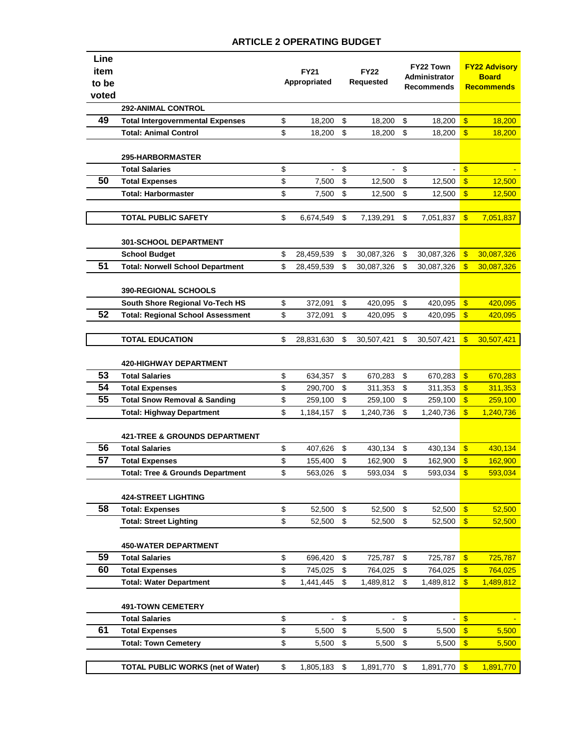| Line<br>item<br>to be<br>voted |                                             | <b>FY21</b><br>Appropriated |                          | <b>FY22</b><br><b>Requested</b> |                | FY22 Town<br>Administrator<br><b>Recommends</b> |                | <b>FY22 Advisory</b><br><b>Board</b><br><b>Recommends</b> |                  |
|--------------------------------|---------------------------------------------|-----------------------------|--------------------------|---------------------------------|----------------|-------------------------------------------------|----------------|-----------------------------------------------------------|------------------|
|                                | 292-ANIMAL CONTROL                          |                             |                          |                                 |                |                                                 |                |                                                           |                  |
| 49                             | <b>Total Intergovernmental Expenses</b>     | \$                          | 18,200                   | \$                              | 18,200         | \$                                              | 18,200         | $\sqrt[6]{3}$                                             | 18,200           |
|                                | <b>Total: Animal Control</b>                | \$                          | 18,200                   | \$                              | 18,200         | \$                                              | 18,200         | $\mathbf{\$}$                                             | 18,200           |
|                                | <b>295-HARBORMASTER</b>                     |                             |                          |                                 |                |                                                 |                |                                                           |                  |
|                                | <b>Total Salaries</b>                       | \$                          | $\overline{\phantom{0}}$ | \$                              | $\blacksquare$ | \$                                              |                | $\sqrt[6]{3}$                                             |                  |
| 50                             | <b>Total Expenses</b>                       | \$                          | 7,500                    | \$                              | 12,500         | \$                                              | 12,500         | $\frac{1}{2}$                                             | 12,500           |
|                                | <b>Total: Harbormaster</b>                  | \$                          | 7,500                    | \$                              | 12,500         | \$                                              | 12,500         | $\sqrt[6]{3}$                                             | 12,500           |
|                                |                                             |                             |                          |                                 |                |                                                 |                |                                                           |                  |
|                                | <b>TOTAL PUBLIC SAFETY</b>                  | \$                          | 6,674,549                | \$                              | 7,139,291      | \$                                              | 7,051,837      | $\mathbf{\$}$                                             | 7,051,837        |
|                                | <b>301-SCHOOL DEPARTMENT</b>                |                             |                          |                                 |                |                                                 |                |                                                           |                  |
|                                | <b>School Budget</b>                        | \$                          | 28,459,539               | \$                              | 30,087,326     | \$                                              | 30,087,326     | $\boldsymbol{\mathsf{s}}$                                 | 30,087,326       |
| 51                             | <b>Total: Norwell School Department</b>     | \$                          | 28,459,539               | \$                              | 30,087,326     | \$                                              | 30,087,326     | $\mathbf{s}$                                              | 30,087,326       |
|                                | <b>390-REGIONAL SCHOOLS</b>                 |                             |                          |                                 |                |                                                 |                |                                                           |                  |
|                                | South Shore Regional Vo-Tech HS             | \$                          | 372,091                  | \$                              | 420,095        | \$                                              | 420,095        | $\sqrt[6]{3}$                                             | 420,095          |
| 52                             | <b>Total: Regional School Assessment</b>    | \$                          | 372,091                  | \$                              | 420,095        | \$                                              | 420,095        | $\mathbf{\$}$                                             | 420,095          |
|                                |                                             |                             |                          |                                 |                |                                                 |                |                                                           |                  |
|                                | <b>TOTAL EDUCATION</b>                      | \$                          | 28,831,630               | \$                              | 30,507,421     | \$                                              | 30,507,421     | $\mathbf{\$}$                                             | 30,507,421       |
|                                | <b>420-HIGHWAY DEPARTMENT</b>               |                             |                          |                                 |                |                                                 |                |                                                           |                  |
| 53                             | <b>Total Salaries</b>                       | \$                          | 634,357                  | \$                              | 670,283        | \$                                              | 670,283        | $\mathbf{\$}$                                             | 670,283          |
| 54                             | <b>Total Expenses</b>                       | \$                          | 290,700                  | \$                              | 311,353        | \$                                              | 311,353        | $\mathbf{\$}$                                             | 311,353          |
| 55                             | <b>Total Snow Removal &amp; Sanding</b>     | \$                          | 259,100                  | \$                              | 259,100        | \$                                              | 259,100        | $\sqrt[6]{3}$                                             | 259,100          |
|                                | <b>Total: Highway Department</b>            | \$                          | 1,184,157                | \$                              | 1,240,736      | \$                                              | 1,240,736      | $\mathbf{\$}$                                             | 1,240,736        |
|                                | <b>421-TREE &amp; GROUNDS DEPARTMENT</b>    |                             |                          |                                 |                |                                                 |                |                                                           |                  |
| 56                             | <b>Total Salaries</b>                       | \$                          | 407,626                  | \$                              | 430,134        | \$                                              | 430,134        | $\mathbf{\$}$                                             | 430,134          |
| 57                             | <b>Total Expenses</b>                       | \$                          | 155,400                  | \$                              | 162,900        | \$                                              | 162,900        | $\mathbf{\$}$                                             | 162,900          |
|                                | <b>Total: Tree &amp; Grounds Department</b> | \$                          | 563,026                  | \$                              | 593,034        | \$                                              | 593,034        | $\mathbf{\$}$                                             | 593,034          |
|                                | <b>424-STREET LIGHTING</b>                  |                             |                          |                                 |                |                                                 |                |                                                           |                  |
| 58                             | <b>Total: Expenses</b>                      | \$                          | 52,500                   | \$                              | 52,500         | $$\mathbb{S}$$                                  | 52,500         | $\sqrt{3}$                                                | 52,500           |
|                                | <b>Total: Street Lighting</b>               | \$                          | 52,500                   | \$                              | 52,500         | \$                                              | 52,500         | $\sqrt[3]{\frac{1}{2}}$                                   | 52,500           |
|                                | <b>450-WATER DEPARTMENT</b>                 |                             |                          |                                 |                |                                                 |                |                                                           |                  |
| 59                             | <b>Total Salaries</b>                       | \$                          | 696,420                  | \$                              | 725,787        | \$                                              | 725,787        | $\mathbf{\$}$                                             | 725,787          |
| 60                             | <b>Total Expenses</b>                       | \$                          | 745,025                  | \$                              | 764,025        | \$                                              | 764,025        | $\mathbf{\$}$                                             | 764,025          |
|                                | <b>Total: Water Department</b>              | \$                          | 1,441,445                | \$                              | 1,489,812      | \$                                              | 1,489,812      | $\mathbf{s}$                                              | <u>1,489,812</u> |
|                                | <b>491-TOWN CEMETERY</b>                    |                             |                          |                                 |                |                                                 |                |                                                           |                  |
|                                | <b>Total Salaries</b>                       | \$                          | $\blacksquare$           | \$                              | $\blacksquare$ | \$                                              | $\blacksquare$ | $\sqrt[6]{3}$                                             |                  |
| 61                             | <b>Total Expenses</b>                       | \$                          | 5,500                    | \$                              | 5,500          | \$                                              | 5,500          | $\sqrt[3]{\frac{1}{2}}$                                   | 5,500            |
|                                | <b>Total: Town Cemetery</b>                 | \$                          | 5,500                    | \$                              | 5,500          | \$                                              | 5,500          | $\mathbf{\$}$                                             | 5,500            |
|                                |                                             |                             |                          |                                 |                |                                                 |                |                                                           |                  |
|                                | <b>TOTAL PUBLIC WORKS (net of Water)</b>    | \$                          | 1,805,183                | \$                              | 1,891,770      | \$                                              | 1,891,770      | $\mathbf{\$}$                                             | 1,891,770        |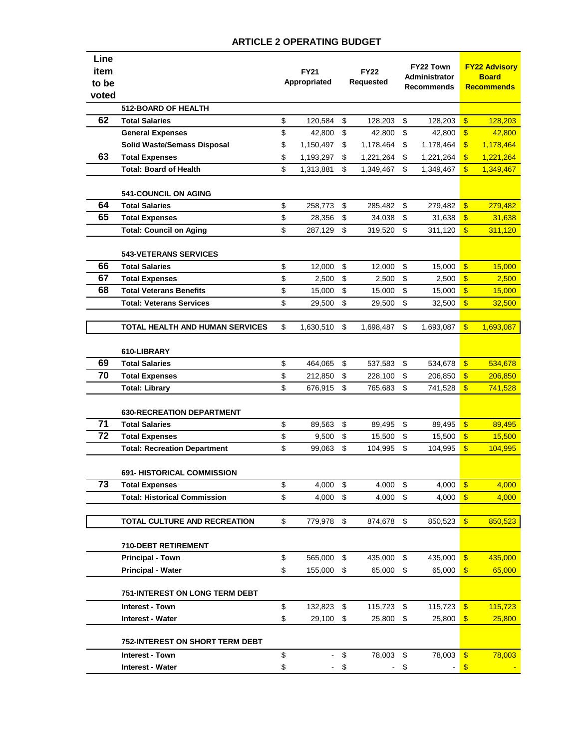| Line<br>item<br>to be<br>voted |                                                           | <b>FY21</b><br>Appropriated |                 | <b>FY22</b><br>Requested |                 | FY22 Town<br><b>Administrator</b><br><b>Recommends</b> |                 | <b>FY22 Advisory</b><br><b>Board</b><br><b>Recommends</b> |                 |
|--------------------------------|-----------------------------------------------------------|-----------------------------|-----------------|--------------------------|-----------------|--------------------------------------------------------|-----------------|-----------------------------------------------------------|-----------------|
|                                | <b>512-BOARD OF HEALTH</b>                                |                             |                 |                          |                 |                                                        |                 |                                                           |                 |
| 62                             | <b>Total Salaries</b>                                     | \$                          | 120,584         | \$                       | 128.203         | \$                                                     | 128,203         | $\mathbf{\$}$                                             | 128,203         |
|                                | <b>General Expenses</b>                                   | \$                          | 42,800          | \$                       | 42,800          | \$                                                     | 42,800          | \$                                                        | 42,800          |
|                                | <b>Solid Waste/Semass Disposal</b>                        | \$                          | 1,150,497       | \$                       | 1,178,464       | \$                                                     | 1,178,464       | $\boldsymbol{\$}$                                         | 1,178,464       |
| 63                             | <b>Total Expenses</b>                                     | \$                          | 1,193,297       | \$                       | 1,221,264       | \$                                                     | 1,221,264       | $\mathbf{\$}$                                             | 1,221,264       |
|                                | <b>Total: Board of Health</b>                             | \$                          | 1,313,881       | \$                       | 1,349,467       | \$                                                     | 1,349,467       | $\mathbf{\$}$                                             | 1,349,467       |
|                                |                                                           |                             |                 |                          |                 |                                                        |                 |                                                           |                 |
|                                | <b>541-COUNCIL ON AGING</b>                               |                             |                 |                          |                 |                                                        |                 |                                                           |                 |
| 64                             | <b>Total Salaries</b>                                     | \$                          | 258,773         | \$                       | 285,482         | \$                                                     | 279,482         | $\sqrt[6]{\frac{1}{2}}$                                   | 279,482         |
| 65                             | <b>Total Expenses</b>                                     | \$                          | 28,356          | \$                       | 34,038          | \$                                                     | 31,638          | \$                                                        | 31,638          |
|                                | <b>Total: Council on Aging</b>                            | \$                          | 287,129         | \$                       | 319,520         | \$                                                     | 311,120         | $\mathbf{\$}$                                             | 311,120         |
|                                |                                                           |                             |                 |                          |                 |                                                        |                 |                                                           |                 |
| 66                             | <b>543-VETERANS SERVICES</b>                              |                             |                 |                          |                 |                                                        |                 |                                                           |                 |
| 67                             | <b>Total Salaries</b><br><b>Total Expenses</b>            | \$<br>\$                    | 12,000<br>2,500 | \$<br>\$                 | 12,000          | \$<br>\$                                               | 15,000<br>2,500 | $\mathbf{\$}$<br>$\boldsymbol{\mathsf{s}}$                | 15,000<br>2,500 |
| 68                             | <b>Total Veterans Benefits</b>                            | \$                          | 15,000          | \$                       | 2,500<br>15,000 | \$                                                     | 15,000          | $\boldsymbol{\mathsf{s}}$                                 | 15,000          |
|                                | <b>Total: Veterans Services</b>                           | \$                          | 29,500          | \$                       | 29,500          | \$                                                     | 32,500          | \$                                                        | 32,500          |
|                                |                                                           |                             |                 |                          |                 |                                                        |                 |                                                           |                 |
|                                | TOTAL HEALTH AND HUMAN SERVICES                           | \$                          | 1,630,510       | \$                       | 1,698,487       | \$                                                     | 1,693,087       | $\mathbf{\$}$                                             | 1,693,087       |
|                                |                                                           |                             |                 |                          |                 |                                                        |                 |                                                           |                 |
|                                | 610-LIBRARY                                               |                             |                 |                          |                 |                                                        |                 |                                                           |                 |
| 69                             | <b>Total Salaries</b>                                     | \$                          | 464,065         | \$                       | 537,583         | \$                                                     | 534,678         | $\mathbf{\$}$                                             | 534,678         |
| 70                             | <b>Total Expenses</b>                                     | \$                          | 212,850         | \$                       | 228,100         | \$                                                     | 206,850         | \$                                                        | 206,850         |
|                                | <b>Total: Library</b>                                     | \$                          | 676,915         | \$                       | 765,683         | \$                                                     | 741,528         | $\boldsymbol{\mathsf{s}}$                                 | 741,528         |
|                                |                                                           |                             |                 |                          |                 |                                                        |                 |                                                           |                 |
| 71                             | <b>630-RECREATION DEPARTMENT</b><br><b>Total Salaries</b> | \$                          |                 | \$                       |                 | \$                                                     |                 | $\sqrt[6]{\frac{1}{2}}$                                   |                 |
| 72                             | <b>Total Expenses</b>                                     | \$                          | 89,563          | \$                       | 89,495          | \$                                                     | 89,495          | $\mathbf{\$}$                                             | 89,495          |
|                                |                                                           | \$                          | 9,500<br>99,063 | \$                       | 15,500          | \$                                                     | 15,500          | $\mathbf{\$}$                                             | 15,500          |
|                                | <b>Total: Recreation Department</b>                       |                             |                 |                          | 104,995         |                                                        | 104,995         |                                                           | 104,995         |
|                                | <b>691- HISTORICAL COMMISSION</b>                         |                             |                 |                          |                 |                                                        |                 |                                                           |                 |
| 73                             | <b>Total Expenses</b>                                     | \$                          | 4,000           | \$                       | 4,000           | \$                                                     | 4,000           | $\sqrt[6]{3}$                                             | 4,000           |
|                                | <b>Total: Historical Commission</b>                       | \$                          | 4,000           | \$                       | 4,000           | \$                                                     | 4,000           | $\mathbf{\$}$                                             | 4,000           |
|                                |                                                           |                             |                 |                          |                 |                                                        |                 |                                                           |                 |
|                                | TOTAL CULTURE AND RECREATION                              | \$                          | 779,978         | \$                       | 874,678         | \$                                                     | 850,523         | $\mathbf{\$}$                                             | 850,523         |
|                                |                                                           |                             |                 |                          |                 |                                                        |                 |                                                           |                 |
|                                | <b>710-DEBT RETIREMENT</b><br><b>Principal - Town</b>     | \$                          | 565,000         | \$                       | 435,000         | \$                                                     | 435,000         | $\mathbf{\$}$                                             | 435,000         |
|                                | <b>Principal - Water</b>                                  | \$                          | 155,000         | \$                       | 65,000          | \$                                                     | 65,000          | $\sqrt[3]{2}$                                             | 65,000          |
|                                |                                                           |                             |                 |                          |                 |                                                        |                 |                                                           |                 |
|                                | <b>751-INTEREST ON LONG TERM DEBT</b>                     |                             |                 |                          |                 |                                                        |                 |                                                           |                 |
|                                | Interest - Town                                           | \$                          | 132,823         | \$                       | 115,723         | \$                                                     | 115,723         | $\sqrt[6]{3}$                                             | 115,723         |
|                                | Interest - Water                                          | \$                          | 29,100          | \$                       | 25,800          | \$                                                     | 25,800          | $\mathfrak{F}$                                            | 25,800          |
|                                | <b>752-INTEREST ON SHORT TERM DEBT</b>                    |                             |                 |                          |                 |                                                        |                 |                                                           |                 |
|                                | <b>Interest - Town</b>                                    | \$                          |                 | \$                       | 78,003          | \$                                                     | 78,003          | $\sqrt[6]{3}$                                             | 78,003          |
|                                | Interest - Water                                          | \$                          |                 | \$                       |                 | \$                                                     |                 | \$                                                        |                 |
|                                |                                                           |                             |                 |                          |                 |                                                        |                 |                                                           |                 |